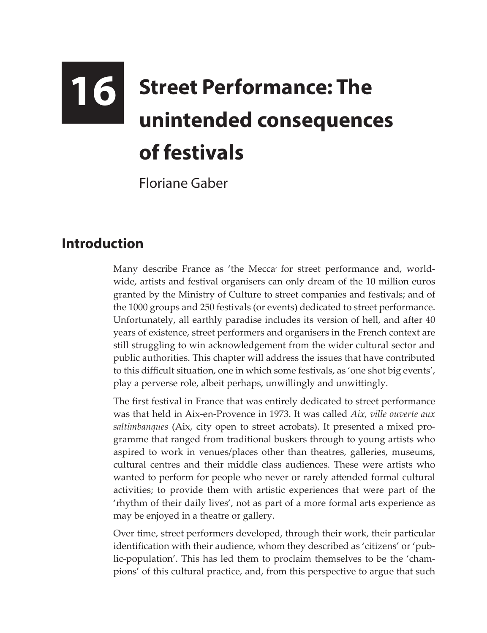## **16 Street Performance: The unintended consequences of festivals**

Floriane Gaber

## **Introduction**

Many describe France as 'the Mecca' for street performance and, worldwide, artists and festival organisers can only dream of the 10 million euros granted by the Ministry of Culture to street companies and festivals; and of the 1000 groups and 250 festivals (or events) dedicated to street performance. Unfortunately, all earthly paradise includes its version of hell, and after 40 years of existence, street performers and organisers in the French context are still struggling to win acknowledgement from the wider cultural sector and public authorities. This chapter will address the issues that have contributed to this difficult situation, one in which some festivals, as 'one shot big events', play a perverse role, albeit perhaps, unwillingly and unwittingly.

The first festival in France that was entirely dedicated to street performance was that held in Aix-en-Provence in 1973. It was called *Aix, ville ouverte aux saltimbanques* (Aix, city open to street acrobats). It presented a mixed programme that ranged from traditional buskers through to young artists who aspired to work in venues/places other than theatres, galleries, museums, cultural centres and their middle class audiences. These were artists who wanted to perform for people who never or rarely attended formal cultural activities; to provide them with artistic experiences that were part of the 'rhythm of their daily lives', not as part of a more formal arts experience as may be enjoyed in a theatre or gallery.

Over time, street performers developed, through their work, their particular identification with their audience, whom they described as 'citizens' or 'public-population'. This has led them to proclaim themselves to be the 'champions' of this cultural practice, and, from this perspective to argue that such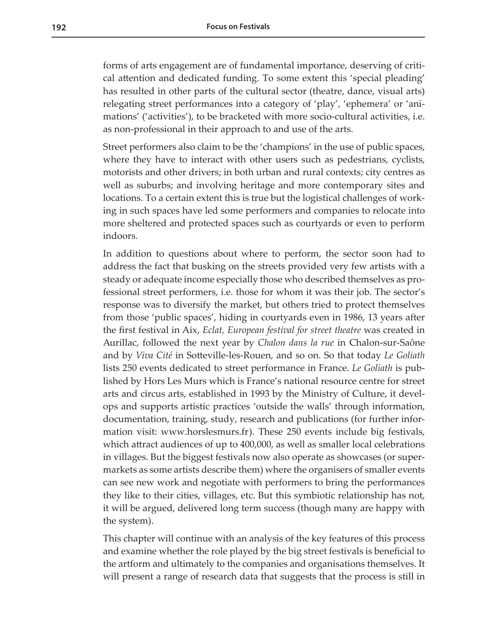forms of arts engagement are of fundamental importance, deserving of critical attention and dedicated funding. To some extent this 'special pleading' has resulted in other parts of the cultural sector (theatre, dance, visual arts) relegating street performances into a category of 'play', 'ephemera' or 'animations' ('activities'), to be bracketed with more socio-cultural activities, i.e. as non-professional in their approach to and use of the arts.

Street performers also claim to be the 'champions' in the use of public spaces, where they have to interact with other users such as pedestrians, cyclists, motorists and other drivers; in both urban and rural contexts; city centres as well as suburbs; and involving heritage and more contemporary sites and locations. To a certain extent this is true but the logistical challenges of working in such spaces have led some performers and companies to relocate into more sheltered and protected spaces such as courtyards or even to perform indoors.

In addition to questions about where to perform, the sector soon had to address the fact that busking on the streets provided very few artists with a steady or adequate income especially those who described themselves as professional street performers, i.e. those for whom it was their job. The sector's response was to diversify the market, but others tried to protect themselves from those 'public spaces', hiding in courtyards even in 1986, 13 years after the first festival in Aix, *Eclat, European festival for street theatre* was created in Aurillac, followed the next year by *Chalon dans la rue* in Chalon-sur-Saône and by *Viva Cité* in Sotteville-les-Rouen, and so on. So that today *Le Goliath* lists 250 events dedicated to street performance in France. *Le Goliath* is published by Hors Les Murs which is France's national resource centre for street arts and circus arts, established in 1993 by the Ministry of Culture, it develops and supports artistic practices 'outside the walls' through information, documentation, training, study, research and publications (for further information visit: [www.horslesmurs.fr](http://www.horslesmurs.fr)). These 250 events include big festivals, which attract audiences of up to 400,000, as well as smaller local celebrations in villages. But the biggest festivals now also operate as showcases (or supermarkets as some artists describe them) where the organisers of smaller events can see new work and negotiate with performers to bring the performances they like to their cities, villages, etc. But this symbiotic relationship has not, it will be argued, delivered long term success (though many are happy with the system).

This chapter will continue with an analysis of the key features of this process and examine whether the role played by the big street festivals is beneficial to the artform and ultimately to the companies and organisations themselves. It will present a range of research data that suggests that the process is still in